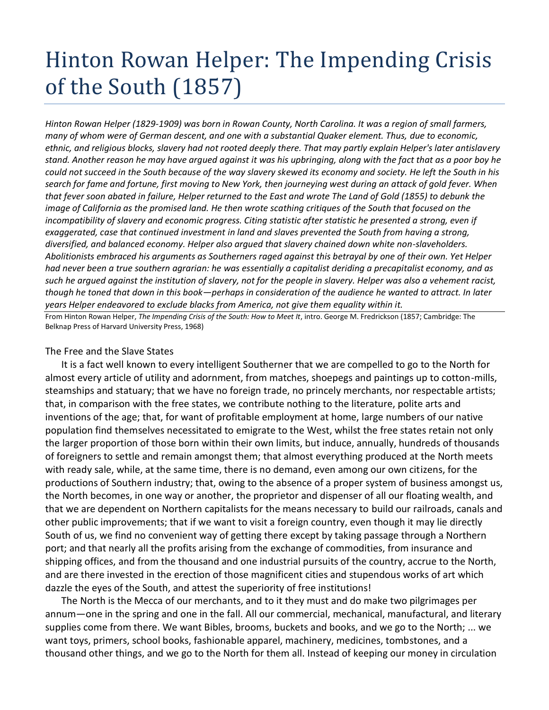## Hinton Rowan Helper: The Impending Crisis of the South (1857)

*Hinton Rowan Helper (1829-1909) was born in Rowan County, North Carolina. It was a region of small farmers, many of whom were of German descent, and one with a substantial Quaker element. Thus, due to economic, ethnic, and religious blocks, slavery had not rooted deeply there. That may partly explain Helper's later antislavery stand. Another reason he may have argued against it was his upbringing, along with the fact that as a poor boy he could not succeed in the South because of the way slavery skewed its economy and society. He left the South in his search for fame and fortune, first moving to New York, then journeying west during an attack of gold fever. When that fever soon abated in failure, Helper returned to the East and wrote The Land of Gold (1855) to debunk the image of California as the promised land. He then wrote scathing critiques of the South that focused on the incompatibility of slavery and economic progress. Citing statistic after statistic he presented a strong, even if exaggerated, case that continued investment in land and slaves prevented the South from having a strong, diversified, and balanced economy. Helper also argued that slavery chained down white non-slaveholders. Abolitionists embraced his arguments as Southerners raged against this betrayal by one of their own. Yet Helper had never been a true southern agrarian: he was essentially a capitalist deriding a precapitalist economy, and as such he argued against the institution of slavery, not for the people in slavery. Helper was also a vehement racist, though he toned that down in this book—perhaps in consideration of the audience he wanted to attract. In later years Helper endeavored to exclude blacks from America, not give them equality within it.*

From Hinton Rowan Helper, *The Impending Crisis of the South: How to Meet It*, intro. George M. Fredrickson (1857; Cambridge: The Belknap Press of Harvard University Press, 1968)

## The Free and the Slave States

It is a fact well known to every intelligent Southerner that we are compelled to go to the North for almost every article of utility and adornment, from matches, shoepegs and paintings up to cotton-mills, steamships and statuary; that we have no foreign trade, no princely merchants, nor respectable artists; that, in comparison with the free states, we contribute nothing to the literature, polite arts and inventions of the age; that, for want of profitable employment at home, large numbers of our native population find themselves necessitated to emigrate to the West, whilst the free states retain not only the larger proportion of those born within their own limits, but induce, annually, hundreds of thousands of foreigners to settle and remain amongst them; that almost everything produced at the North meets with ready sale, while, at the same time, there is no demand, even among our own citizens, for the productions of Southern industry; that, owing to the absence of a proper system of business amongst us, the North becomes, in one way or another, the proprietor and dispenser of all our floating wealth, and that we are dependent on Northern capitalists for the means necessary to build our railroads, canals and other public improvements; that if we want to visit a foreign country, even though it may lie directly South of us, we find no convenient way of getting there except by taking passage through a Northern port; and that nearly all the profits arising from the exchange of commodities, from insurance and shipping offices, and from the thousand and one industrial pursuits of the country, accrue to the North, and are there invested in the erection of those magnificent cities and stupendous works of art which dazzle the eyes of the South, and attest the superiority of free institutions!

The North is the Mecca of our merchants, and to it they must and do make two pilgrimages per annum—one in the spring and one in the fall. All our commercial, mechanical, manufactural, and literary supplies come from there. We want Bibles, brooms, buckets and books, and we go to the North; ... we want toys, primers, school books, fashionable apparel, machinery, medicines, tombstones, and a thousand other things, and we go to the North for them all. Instead of keeping our money in circulation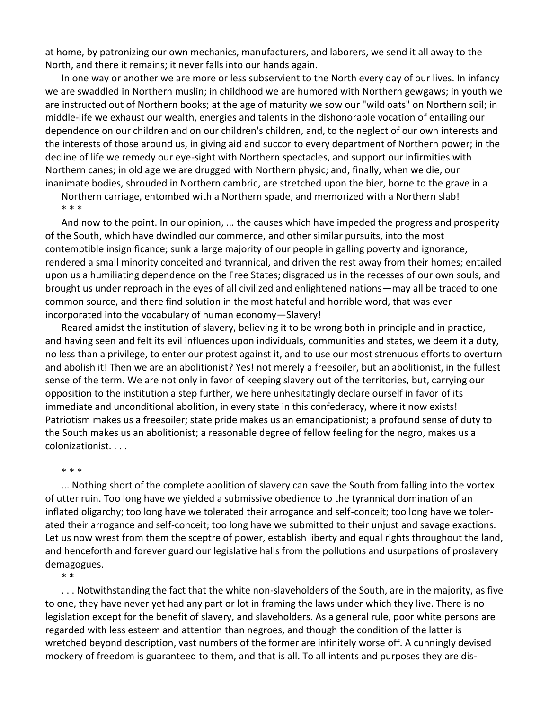at home, by patronizing our own mechanics, manufacturers, and laborers, we send it all away to the North, and there it remains; it never falls into our hands again.

In one way or another we are more or less subservient to the North every day of our lives. In infancy we are swaddled in Northern muslin; in childhood we are humored with Northern gewgaws; in youth we are instructed out of Northern books; at the age of maturity we sow our "wild oats" on Northern soil; in middle-life we exhaust our wealth, energies and talents in the dishonorable vocation of entailing our dependence on our children and on our children's children, and, to the neglect of our own interests and the interests of those around us, in giving aid and succor to every department of Northern power; in the decline of life we remedy our eye-sight with Northern spectacles, and support our infirmities with Northern canes; in old age we are drugged with Northern physic; and, finally, when we die, our inanimate bodies, shrouded in Northern cambric, are stretched upon the bier, borne to the grave in a

Northern carriage, entombed with a Northern spade, and memorized with a Northern slab! \* \* \*

And now to the point. In our opinion, ... the causes which have impeded the progress and prosperity of the South, which have dwindled our commerce, and other similar pursuits, into the most contemptible insignificance; sunk a large majority of our people in galling poverty and ignorance, rendered a small minority conceited and tyrannical, and driven the rest away from their homes; entailed upon us a humiliating dependence on the Free States; disgraced us in the recesses of our own souls, and brought us under reproach in the eyes of all civilized and enlightened nations—may all be traced to one common source, and there find solution in the most hateful and horrible word, that was ever incorporated into the vocabulary of human economy—Slavery!

Reared amidst the institution of slavery, believing it to be wrong both in principle and in practice, and having seen and felt its evil influences upon individuals, communities and states, we deem it a duty, no less than a privilege, to enter our protest against it, and to use our most strenuous efforts to overturn and abolish it! Then we are an abolitionist? Yes! not merely a freesoiler, but an abolitionist, in the fullest sense of the term. We are not only in favor of keeping slavery out of the territories, but, carrying our opposition to the institution a step further, we here unhesitatingly declare ourself in favor of its immediate and unconditional abolition, in every state in this confederacy, where it now exists! Patriotism makes us a freesoiler; state pride makes us an emancipationist; a profound sense of duty to the South makes us an abolitionist; a reasonable degree of fellow feeling for the negro, makes us a colonizationist. . . .

## \* \* \*

... Nothing short of the complete abolition of slavery can save the South from falling into the vortex of utter ruin. Too long have we yielded a submissive obedience to the tyrannical domination of an inflated oligarchy; too long have we tolerated their arrogance and self-conceit; too long have we tolerated their arrogance and self-conceit; too long have we submitted to their unjust and savage exactions. Let us now wrest from them the sceptre of power, establish liberty and equal rights throughout the land, and henceforth and forever guard our legislative halls from the pollutions and usurpations of proslavery demagogues.

\* \*

. . . Notwithstanding the fact that the white non-slaveholders of the South, are in the majority, as five to one, they have never yet had any part or lot in framing the laws under which they live. There is no legislation except for the benefit of slavery, and slaveholders. As a general rule, poor white persons are regarded with less esteem and attention than negroes, and though the condition of the latter is wretched beyond description, vast numbers of the former are infinitely worse off. A cunningly devised mockery of freedom is guaranteed to them, and that is all. To all intents and purposes they are dis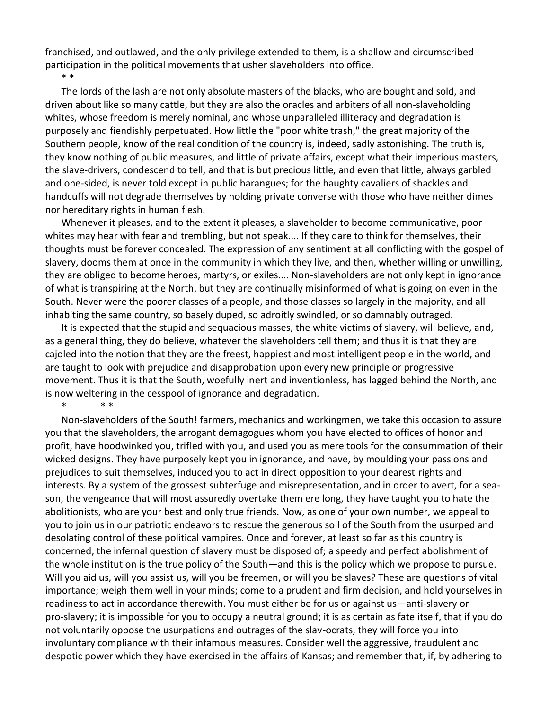franchised, and outlawed, and the only privilege extended to them, is a shallow and circumscribed participation in the political movements that usher slaveholders into office.

The lords of the lash are not only absolute masters of the blacks, who are bought and sold, and driven about like so many cattle, but they are also the oracles and arbiters of all non-slaveholding whites, whose freedom is merely nominal, and whose unparalleled illiteracy and degradation is purposely and fiendishly perpetuated. How little the "poor white trash," the great majority of the Southern people, know of the real condition of the country is, indeed, sadly astonishing. The truth is, they know nothing of public measures, and little of private affairs, except what their imperious masters, the slave-drivers, condescend to tell, and that is but precious little, and even that little, always garbled and one-sided, is never told except in public harangues; for the haughty cavaliers of shackles and handcuffs will not degrade themselves by holding private converse with those who have neither dimes nor hereditary rights in human flesh.

Whenever it pleases, and to the extent it pleases, a slaveholder to become communicative, poor whites may hear with fear and trembling, but not speak.... If they dare to think for themselves, their thoughts must be forever concealed. The expression of any sentiment at all conflicting with the gospel of slavery, dooms them at once in the community in which they live, and then, whether willing or unwilling, they are obliged to become heroes, martyrs, or exiles.... Non-slaveholders are not only kept in ignorance of what is transpiring at the North, but they are continually misinformed of what is going on even in the South. Never were the poorer classes of a people, and those classes so largely in the majority, and all inhabiting the same country, so basely duped, so adroitly swindled, or so damnably outraged.

It is expected that the stupid and sequacious masses, the white victims of slavery, will believe, and, as a general thing, they do believe, whatever the slaveholders tell them; and thus it is that they are cajoled into the notion that they are the freest, happiest and most intelligent people in the world, and are taught to look with prejudice and disapprobation upon every new principle or progressive movement. Thus it is that the South, woefully inert and inventionless, has lagged behind the North, and is now weltering in the cesspool of ignorance and degradation.

\* \* \*

\* \*

Non-slaveholders of the South! farmers, mechanics and workingmen, we take this occasion to assure you that the slaveholders, the arrogant demagogues whom you have elected to offices of honor and profit, have hoodwinked you, trifled with you, and used you as mere tools for the consummation of their wicked designs. They have purposely kept you in ignorance, and have, by moulding your passions and prejudices to suit themselves, induced you to act in direct opposition to your dearest rights and interests. By a system of the grossest subterfuge and misrepresentation, and in order to avert, for a season, the vengeance that will most assuredly overtake them ere long, they have taught you to hate the abolitionists, who are your best and only true friends. Now, as one of your own number, we appeal to you to join us in our patriotic endeavors to rescue the generous soil of the South from the usurped and desolating control of these political vampires. Once and forever, at least so far as this country is concerned, the infernal question of slavery must be disposed of; a speedy and perfect abolishment of the whole institution is the true policy of the South—and this is the policy which we propose to pursue. Will you aid us, will you assist us, will you be freemen, or will you be slaves? These are questions of vital importance; weigh them well in your minds; come to a prudent and firm decision, and hold yourselves in readiness to act in accordance therewith. You must either be for us or against us—anti-slavery or pro-slavery; it is impossible for you to occupy a neutral ground; it is as certain as fate itself, that if you do not voluntarily oppose the usurpations and outrages of the slav-ocrats, they will force you into involuntary compliance with their infamous measures. Consider well the aggressive, fraudulent and despotic power which they have exercised in the affairs of Kansas; and remember that, if, by adhering to